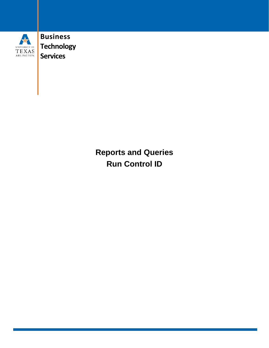

**Business Technology Services**

> **Reports and Queries Run Control ID**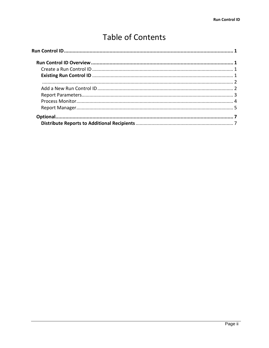# **Table of Contents**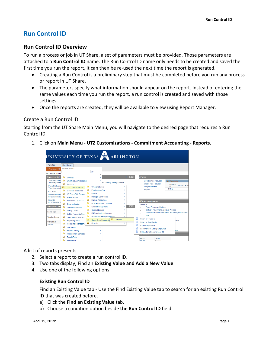# <span id="page-2-0"></span>**Run Control ID**

## <span id="page-2-1"></span>**Run Control ID Overview**

To run a process or job in UT Share, a set of parameters must be provided. Those parameters are attached to a **Run Control ID** name. The Run Control ID name only needs to be created and saved the first time you run the report, it can then be re-used the next time the report is generated.

- Creating a Run Control is a preliminary step that must be completed before you run any process or report in UT Share.
- The parameters specify what information should appear on the report. Instead of entering the same values each time you run the report, a run control is created and saved with those settings.
- Once the reports are created, they will be available to view using Report Manager.

#### <span id="page-2-2"></span>Create a Run Control ID

Starting from the UT Share Main Menu, you will navigate to the desired page that requires a Run Control ID.

1. Click on **Main Menu - UTZ Customizations - Commitment Accounting - Reports.**



A list of reports presents.

- 2. Select a report to create a run control ID.
- 3. Two tabs display; Find an **Existing Value and Add a New Value**.
- <span id="page-2-3"></span>4. Use one of the following options:

#### **Existing Run Control ID**

Find an Existing Value tab - Use the Find Existing Value tab to search for an existing Run Control ID that was created before.

- a) Click the **Find an Existing Value** tab.
- b) Choose a condition option beside **the Run Control ID** field.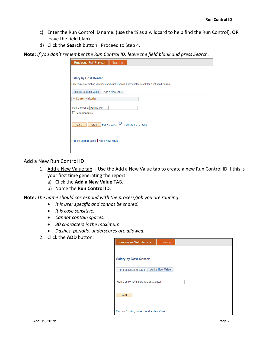- <span id="page-3-0"></span>c) Enter the Run Control ID name. (use the % as a wildcard to help find the Run Control). **OR**  leave the field blank.
- d) Click the **Search** button. Proceed to Step 4.

**Note:** *If you don't remember the Run Control ID, leave the field blank and press Search.*

| <b>Employee Self-Service</b><br>Training                                                      |
|-----------------------------------------------------------------------------------------------|
|                                                                                               |
| <b>Salary by Cost Center</b>                                                                  |
| Enter any information you have and click Search. Leave fields blank for a list of all values. |
| <b>Find an Existing Value</b><br>Add a New Value                                              |
| Search Criteria                                                                               |
| Run Control ID begins with $\sim$                                                             |
| Case Sensitive                                                                                |
| Basic Search <sup>2</sup> Save Search Criteria<br>Clear<br>Search                             |
|                                                                                               |
|                                                                                               |
| Find an Existing Value   Add a New Value                                                      |
|                                                                                               |

#### <span id="page-3-1"></span>Add a New Run Control ID

- 1. Add a New Value tab: Use the Add a New Value tab to create a new Run Control ID if this is your first time generating the report.
	- a) Click the **Add a New Value** TAB.
	- b) Name the **Run Control ID**.

**Note:** *The name should correspond with the process/job you are running:*

- *It is user specific and cannot be shared.*
- *It is case sensitive.*
- *Cannot contain spaces.*
- *30 characters is the maximum.*
- *Dashes, periods, underscores are allowed.*
- 2. Click the **ADD** button.

| <b>Employee Self-Service</b>             | Training               |  |  |
|------------------------------------------|------------------------|--|--|
|                                          |                        |  |  |
| <b>Salary by Cost Center</b>             |                        |  |  |
|                                          |                        |  |  |
| <b>Eind an Existing Value</b>            | <b>Add a New Value</b> |  |  |
| Run Control ID Salary.by.Cost.Center     |                        |  |  |
|                                          |                        |  |  |
| Add                                      |                        |  |  |
|                                          |                        |  |  |
| Find an Existing Value   Add a New Value |                        |  |  |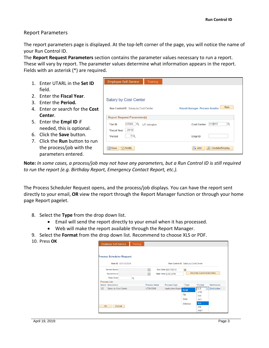#### <span id="page-4-0"></span>Report Parameters

The report parameters page is displayed. At the top-left corner of the page, you will notice the name of your Run Control ID.

The **Report Request Parameters** section contains the parameter values necessary to run a report. These will vary by report. The parameter values determine what information appears in the report. Fields with an asterisk (\*) are required.

|    | 1. Enter UTARL in the Set ID          | <b>Employee Self-Service</b>         | Training            |                                       |
|----|---------------------------------------|--------------------------------------|---------------------|---------------------------------------|
|    | field.                                |                                      |                     |                                       |
|    | 2. Enter the Fiscal Year.             |                                      |                     |                                       |
| 3. | Enter the <b>Period.</b>              | <b>Salary by Cost Center</b>         |                     |                                       |
|    | 4. Enter or search for the Cost       | Run Control ID Salary.by.Cost.Center |                     | Run<br>Report Manager Process Monitor |
|    | Center.                               | <b>Report Request Parameter(s)</b>   |                     |                                       |
|    | 5. Enter the <b>Empl ID</b> if        | <b>UTARL</b><br>*Set ID              | <b>UT Arlington</b> | 310 157<br>Q<br><b>Cost Center</b>    |
|    | needed, this is optional.             | 2019<br>*Fiscal Year                 |                     |                                       |
|    | 6. Click the <b>Save</b> button.      | 7Q<br>*Period                        |                     | <b>Empl ID</b>                        |
|    | 7. Click the <b>Run</b> button to run |                                      |                     |                                       |
|    | the process/job with the              | $1$ Save<br>$\boxed{=}$ Notify       |                     | ℱ<br>$\equiv$ Add<br>Update/Display   |
|    | parameters entered.                   |                                      |                     |                                       |
|    |                                       |                                      |                     |                                       |

**Note:** *In some cases, a process/job may not have any parameters, but a Run Control ID is still required to run the report (e.g. Birthday Report, Emergency Contact Report, etc.).* 

The Process Scheduler Request opens, and the process/job displays. You can have the report sent directly to your email, **OR** view the report through the Report Manager function or through your home page Report pagelet.

- 8. Select the **Type** from the drop down list.
	- Email will send the report directly to your email when it has processed.
	- Web will make the report available through the Report Manager.
- 9. Select the **Format** from the drop down list. Recommend to choose XLS or PDF.
- 10. Press **OK**

|    | <b>Employee Self-Service</b> | Training |                     |                           |                                      |                                   |                     |
|----|------------------------------|----------|---------------------|---------------------------|--------------------------------------|-----------------------------------|---------------------|
|    |                              |          |                     |                           |                                      |                                   |                     |
|    | Process Scheduler Request    |          |                     |                           |                                      |                                   |                     |
|    |                              |          |                     |                           |                                      |                                   |                     |
|    | User ID 6001363564           |          |                     |                           | Run Control ID Salary.by.Cost.Center |                                   |                     |
|    | <b>Server Name</b>           |          |                     | Run Date 04/17/2019       | n                                    |                                   |                     |
|    | <b>Recurrence</b>            |          |                     | Run Time 2:35:03PM        |                                      | <b>Reset to Current Date/Time</b> |                     |
|    | Time Zone                    | Q        |                     |                           |                                      |                                   |                     |
|    | <b>Process List</b>          |          |                     |                           |                                      |                                   |                     |
|    | <b>Select</b> Description    |          | <b>Process Name</b> | <b>Process Type</b>       | *Type                                | *Format                           | <b>Distribution</b> |
| ☑  | Salary by Cost Center        |          | UTZHC509            | <b>Application Engine</b> | Email                                | <b>XLS</b>                        | $\vee$ Distribution |
|    |                              |          |                     |                           |                                      | <b>HTM</b>                        |                     |
|    |                              |          |                     |                           | File                                 | <b>PDF</b>                        |                     |
|    |                              |          |                     |                           | Web                                  | <b>TXT</b>                        |                     |
|    |                              |          |                     |                           | Window                               | <b>XLS</b>                        |                     |
| OK | Cancel                       |          |                     |                           |                                      | <b>XML</b>                        |                     |
|    |                              |          |                     |                           |                                      | <b>XMLP</b>                       |                     |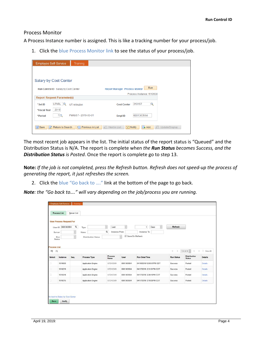#### <span id="page-5-0"></span>Process Monitor

A Process Instance number is assigned. This is like a tracking number for your process/job.

1. Click the blue Process Monitor link to see the status of your process/job.

| <b>Employee Self-Service</b>             | Training                           |                                                                            |
|------------------------------------------|------------------------------------|----------------------------------------------------------------------------|
|                                          |                                    |                                                                            |
| <b>Salary by Cost Center</b>             |                                    |                                                                            |
| Run Control ID Salary.by.Cost.Center     |                                    | Run<br>Report Manager Process Monitor                                      |
|                                          |                                    | Process Instance: 1610630                                                  |
| <b>Report Request Parameter(s)</b>       |                                    |                                                                            |
| <b>UTARL</b><br>Q<br>*Set ID             | <b>UT Arlington</b>                | 310157<br>Q<br><b>Cost Center</b>                                          |
| 2019<br>*Fiscal Year                     |                                    |                                                                            |
| 7 Q<br>*Period                           | Period 7 - 2019-03-01              | 6001363564<br><b>Empl ID</b>                                               |
| $\mathbb{R}$ Save<br>of Return to Search | Previous in List<br>H <sub>1</sub> | $\Box$ Add<br>犀<br>$\equiv$ Notify<br>Update/Display<br>Next in List<br>』三 |

The most recent job appears in the list. The initial status of the report status is "Queued" and the Distribution Status is N/A. The report is complete when *the Run Status becomes Success, and the Distribution Status is Posted*. Once the report is complete go to step 13.

**Note:** *If the job is not completed, press the Refresh button. Refresh does not speed-up the process of generating the report, it just refreshes the screen.*

2. Click the blue "Go back to ...." link at the bottom of the page to go back.

*Note: the "Go back to…." will vary depending on the job/process you are running.*

|                                      | <b>View Process Request For</b> |          |                           |                           |            |                           |                    |                   |                        |                |
|--------------------------------------|---------------------------------|----------|---------------------------|---------------------------|------------|---------------------------|--------------------|-------------------|------------------------|----------------|
| User ID                              | 6001363564                      | $\alpha$ | Type                      | $\backsim$<br>Last        | $\omega$   | $\mathbf{1}$              | $\backsim$<br>Days | Refresh           |                        |                |
| Server                               |                                 | $\circ$  | Name                      | $\alpha$<br>Instance From |            | Instance To               |                    |                   |                        |                |
| <b>Process List</b><br>晖<br>$\alpha$ |                                 |          |                           |                           |            |                           |                    | ×<br>$\lambda$    | $1-4$ of $4$<br>$\geq$ | View All<br> v |
|                                      |                                 |          |                           | Process                   | User       | Run Date/Time             |                    | <b>Run Status</b> | <b>Distribution</b>    | <b>Details</b> |
| Select                               | Instance                        | Seq.     | Process Type              | Name                      |            |                           |                    |                   | <b>Status</b>          |                |
| $\Box$                               | 1610630                         |          | Application Engine        | UTZHC509                  | 6001363564 | 04/18/2019 12:00:07PM CDT |                    | Success           | Posted                 | Details        |
|                                      | 1610219                         |          | <b>Application Engine</b> | UTZHC509                  | 6001363564 | 04/17/2019 2:31:01PM CDT  |                    | <b>Success</b>    | Posted                 | <b>Details</b> |
| n<br>O                               | 1610218                         |          | <b>Application Engine</b> | UTZHC509                  | 6001363564 | 04/17/2019 2:29:10PM CDT  |                    | Success           | Posted                 | <b>Details</b> |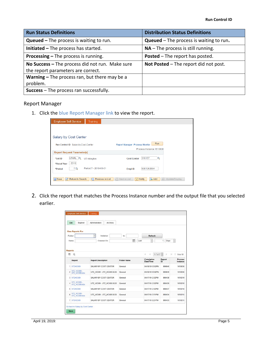| <b>Run Status Definitions</b>                                                         | <b>Distribution Status Definitions</b>           |
|---------------------------------------------------------------------------------------|--------------------------------------------------|
| <b>Queued</b> $-$ The process is waiting to run.                                      | <b>Queued</b> $-$ The process is waiting to run. |
| Initiated - The process has started.                                                  | $NA$ – The process is still running.             |
| <b>Processing – The process is running.</b>                                           | <b>Posted</b> – The report has posted.           |
| No Success - The process did not run. Make sure<br>the report parameters are correct. | Not Posted - The report did not post.            |
| <b>Warning - The process ran, but there may be a</b>                                  |                                                  |
| problem.                                                                              |                                                  |
| <b>Success</b> – The process ran successfully.                                        |                                                  |

### <span id="page-6-0"></span>Report Manager

1. Click the blue Report Manager link to view the report.

| <b>Employee Self-Service</b>                          | <b>Training</b>                |                                                                                   |
|-------------------------------------------------------|--------------------------------|-----------------------------------------------------------------------------------|
|                                                       |                                |                                                                                   |
| <b>Salary by Cost Center</b>                          |                                |                                                                                   |
| Run Control ID Salary.by.Cost.Center                  |                                | Run<br>Report Manager Process Monitor                                             |
|                                                       |                                | Process Instance: 1610630                                                         |
| <b>Report Request Parameter(s)</b>                    |                                |                                                                                   |
| <b>UTARL</b><br>lQ<br>*Set ID<br>2019<br>*Fiscal Year | <b>UT Arlington</b>            | 310157<br>Q<br><b>Cost Center</b>                                                 |
| 7 Q<br>*Period                                        | Period 7 - 2019-03-01          | 6001363564<br><b>Empl ID</b>                                                      |
| <b>日</b> Save<br>o <sup>t</sup> Return to Search      | Previous in List<br>$\uparrow$ | 犀<br>$\Box$ Add<br>$\downarrow$ Next in List<br>$\equiv$ Notify<br>Update/Display |

2. Click the report that matches the Process Instance number and the output file that you selected earlier.

|                | List<br>Explorer                    | Administration            | <b>Archives</b>            |                    |   |                         |                |              |               |
|----------------|-------------------------------------|---------------------------|----------------------------|--------------------|---|-------------------------|----------------|--------------|---------------|
|                | <b>View Reports For</b>             |                           |                            |                    |   |                         |                |              |               |
|                | Folder                              |                           | Instance                   | to                 |   | Refresh                 |                |              |               |
|                | Name                                |                           | Created On                 |                    | 節 | Last<br>V               |                | 1<br>Days    | iG.           |
|                | Report                              | <b>Report Description</b> |                            | <b>Folder Name</b> |   | Completion<br>Date/Time |                | Report<br>ID | Process       |
| Œ,             | $\Omega$                            |                           |                            |                    |   | A <br>$\mathcal{A}$     | $1 - 7$ of $7$ | Þ            | ×<br>View All |
|                |                                     |                           |                            |                    |   |                         |                |              | Instance      |
|                | 1 UTZHC509                          |                           | SALARY BY COST CENTER      | General            |   | 04/18/19 12:02PM        |                | 896846       | 1610630       |
| $\overline{2}$ | UTZ HC509 -<br>UTZ HC509.xlsx       |                           | UTZ HC509 - UTZ HC509 XLSX | General            |   | 04/18/19 12:02PM        |                | 896849       | 1610630       |
|                | 3 UTZHC509                          |                           | SALARY BY COST CENTER      | General            |   | 04/17/19 2:32PM         |                | 896438       | 1610219       |
| 4              | <b>UTZ HC509-</b><br>UTZ HC509.xlsx |                           | UTZ HC509 - UTZ HC509.XLSX | General            |   | 04/17/19 2:32PM         |                | 896439       | 1610218       |
|                | <b>5 UTZHC509</b>                   |                           | SALARY BY COST CENTER      | General            |   | 04/17/19 2:32PM         |                | 896437       | 1610218       |
|                |                                     |                           | UTZ HC509 - UTZ HC509 XLSX | General            |   | 04/17/19 2:21PM         |                | 896434       | 1610215       |
| $\mathbf{e}$   | <b>UTZ HC509-</b><br>UTZ HC509 xlsx |                           |                            |                    |   |                         |                |              | 1610215       |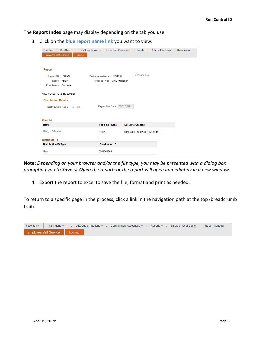The **Report Index** page may display depending on the tab you use.

3. Click on the **blue report name link** you want to view.

| Favorites $\star$<br>Main Menu -         |                            | > UTZ Customizations $\star$ > Commitment Accounting $\star$ > Reports $\star$ > Salary by Cost Center > Report Manager |  |
|------------------------------------------|----------------------------|-------------------------------------------------------------------------------------------------------------------------|--|
| <b>Employee Self-Service</b><br>Training |                            |                                                                                                                         |  |
|                                          |                            |                                                                                                                         |  |
|                                          |                            |                                                                                                                         |  |
| Report                                   |                            |                                                                                                                         |  |
| Report ID 896849                         | Process Instance 1610630   | Message Log                                                                                                             |  |
| Name XMLP                                | Process Type XML Publisher |                                                                                                                         |  |
| Run Status Success                       |                            |                                                                                                                         |  |
|                                          |                            |                                                                                                                         |  |
| UTZ_HC509 - UTZ_HC509.xlsx               |                            |                                                                                                                         |  |
| <b>Distribution Details</b>              |                            |                                                                                                                         |  |
| <b>Distribution Node PS-HTTP</b>         | Expiration Date 06/02/2019 |                                                                                                                         |  |
|                                          |                            |                                                                                                                         |  |
|                                          |                            |                                                                                                                         |  |
| <b>File List</b>                         |                            |                                                                                                                         |  |
| <b>Name</b>                              | <b>File Size (bytes)</b>   | <b>Datetime Created</b>                                                                                                 |  |
| UTZ HC509.xlsx                           | 6,037                      | 04/18/2019 12:02:41.685639PM CDT                                                                                        |  |
| <b>Distribute To</b>                     |                            |                                                                                                                         |  |
| <b>Distribution ID Type</b>              | *Distribution ID           |                                                                                                                         |  |
| <b>User</b>                              | 6001363564                 |                                                                                                                         |  |
|                                          |                            |                                                                                                                         |  |

**Note:** *Depending on your browser and/or the file type, you may be presented with a dialog box prompting you to Save or Open the report; or the report will open immediately in a new window.*

4. Export the report to excel to save the file, format and print as needed.

To return to a specific page in the process, click a link in the navigation path at the top (breadcrumb trail).

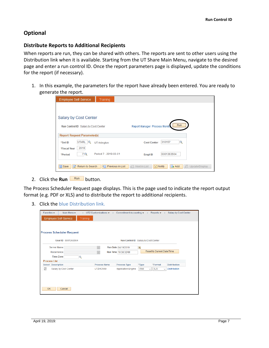# <span id="page-8-0"></span>**Optional**

#### <span id="page-8-1"></span>**Distribute Reports to Additional Recipients**

When reports are run, they can be shared with others. The reports are sent to other users using the Distribution link when it is available. Starting from the UT Share Main Menu, navigate to the desired page and enter a run control ID. Once the report parameters page is displayed, update the conditions for the report (if necessary).

1. In this example, the parameters for the report have already been entered. You are ready to generate the report.

| <b>Salary by Cost Center</b><br>,,,,,,,,,,,,,,,,,,,,,,,,,,<br>Run<br>Report Manager Process Monito<br>Run Control ID Salary.by.Cost.Center<br><b>Report Request Parameter(s)</b><br><b>UTARL</b><br>310157<br>Q<br>*Set ID<br><b>Cost Center</b><br><b>UT Arlington</b><br>2019<br>*Fiscal Year<br>Period 7 - 2019-03-01<br>6001363564<br>7Q<br>*Period<br><b>Empl ID</b> | <b>Employee Self-Service</b>         | <b>Training</b> |  |                                         |  |  |  |  |  |  |
|---------------------------------------------------------------------------------------------------------------------------------------------------------------------------------------------------------------------------------------------------------------------------------------------------------------------------------------------------------------------------|--------------------------------------|-----------------|--|-----------------------------------------|--|--|--|--|--|--|
|                                                                                                                                                                                                                                                                                                                                                                           |                                      |                 |  |                                         |  |  |  |  |  |  |
|                                                                                                                                                                                                                                                                                                                                                                           |                                      |                 |  |                                         |  |  |  |  |  |  |
|                                                                                                                                                                                                                                                                                                                                                                           |                                      |                 |  |                                         |  |  |  |  |  |  |
|                                                                                                                                                                                                                                                                                                                                                                           |                                      |                 |  |                                         |  |  |  |  |  |  |
|                                                                                                                                                                                                                                                                                                                                                                           |                                      |                 |  |                                         |  |  |  |  |  |  |
|                                                                                                                                                                                                                                                                                                                                                                           |                                      |                 |  |                                         |  |  |  |  |  |  |
|                                                                                                                                                                                                                                                                                                                                                                           |                                      |                 |  |                                         |  |  |  |  |  |  |
| ↑ Previous in List   ↓ Next in List<br>$\equiv$ Notify                                                                                                                                                                                                                                                                                                                    | <b>日</b> Save<br>of Return to Search |                 |  | $\mathbb{R}$ Add<br>犀<br>Update/Display |  |  |  |  |  |  |

2. Click the **Run** Run button.

The Process Scheduler Request page displays. This is the page used to indicate the report output format (e.g. PDF or XLS) and to distribute the report to additional recipients.

3. Click the blue Distribution link.

| Favorites $\star$                | Main Menu $\star$     | $\mathcal{S}$ |                     |                                      |       |                                      | UTZ Customizations $\star$ > Commitment Accounting $\star$ > Reports $\star$ > Salary by Cost Center |  |
|----------------------------------|-----------------------|---------------|---------------------|--------------------------------------|-------|--------------------------------------|------------------------------------------------------------------------------------------------------|--|
| <b>Employee Self-Service</b>     |                       | Training      |                     |                                      |       |                                      |                                                                                                      |  |
|                                  |                       |               |                     |                                      |       |                                      |                                                                                                      |  |
|                                  |                       |               |                     |                                      |       |                                      |                                                                                                      |  |
| <b>Process Scheduler Request</b> |                       |               |                     |                                      |       |                                      |                                                                                                      |  |
|                                  | User ID 6001363564    |               |                     | Run Control ID Salary.by.Cost.Center |       |                                      |                                                                                                      |  |
| <b>Server Name</b>               |                       |               |                     | Run Date 04/19/2019                  | Ħ     |                                      |                                                                                                      |  |
| <b>Recurrence</b>                |                       |               |                     | Run Time 10:38:32AM                  |       | Reset to Current Date/Time           |                                                                                                      |  |
| <b>Time Zone</b>                 | Q                     |               |                     |                                      |       |                                      |                                                                                                      |  |
| <b>Process List</b>              |                       |               |                     |                                      |       |                                      |                                                                                                      |  |
| <b>Select Description</b>        |                       |               | <b>Process Name</b> | <b>Process Type</b>                  | *Type | *Format                              | <b>Distribution</b>                                                                                  |  |
| $\checkmark$                     | Salary by Cost Center |               | UTZHC509            | <b>Application Engine</b>            | Web   | <b>XLS</b><br>$\vee$<br>$\checkmark$ | <b>Distribution</b>                                                                                  |  |
|                                  |                       |               |                     |                                      |       |                                      |                                                                                                      |  |
|                                  |                       |               |                     |                                      |       |                                      |                                                                                                      |  |
|                                  |                       |               |                     |                                      |       |                                      |                                                                                                      |  |
| <b>OK</b>                        | Cancel                |               |                     |                                      |       |                                      |                                                                                                      |  |
|                                  |                       |               |                     |                                      |       |                                      |                                                                                                      |  |